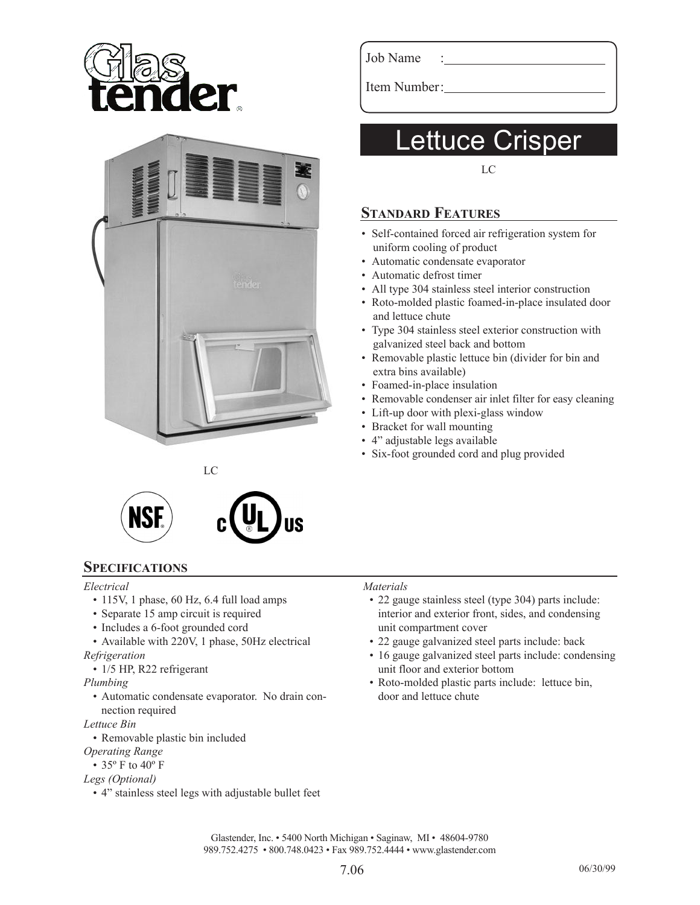



Job Name

Item Number:

# ettuce Crisper

LC

## **STANDARD FEATURES**

- Self-contained forced air refrigeration system for uniform cooling of product
- Automatic condensate evaporator
- Automatic defrost timer
- All type 304 stainless steel interior construction
- Roto-molded plastic foamed-in-place insulated door and lettuce chute
- Type 304 stainless steel exterior construction with galvanized steel back and bottom
- Removable plastic lettuce bin (divider for bin and extra bins available)
- Foamed-in-place insulation
- Removable condenser air inlet filter for easy cleaning
- Lift-up door with plexi-glass window
- Bracket for wall mounting
- 4" adjustable legs available
- Six-foot grounded cord and plug provided



LC

### **SPECIFICATIONS**

#### *Electrical*

- 115V, 1 phase, 60 Hz, 6.4 full load amps
- Separate 15 amp circuit is required
- Includes a 6-foot grounded cord
- Available with 220V, 1 phase, 50Hz electrical *Refrigeration*
- 1/5 HP, R22 refrigerant

#### *Plumbing*

• Automatic condensate evaporator. No drain con nection required

#### *Lettuce Bin*

- Removable plastic bin included
- *Operating Range*
- 35 $\degree$  F to 40 $\degree$  F

#### *Legs (Optional)*

• 4" stainless steel legs with adjustable bullet feet

#### *Materials*

- 22 gauge stainless steel (type 304) parts include: interior and exterior front, sides, and condensing unit compartment cover
- 22 gauge galvanized steel parts include: back
- 16 gauge galvanized steel parts include: condensing unit floor and exterior bottom
- Roto-molded plastic parts include: lettuce bin, door and lettuce chute

Glastender, Inc. • 5400 North Michigan • Saginaw, MI • 48604-9780 989.752.4275 • 800.748.0423 • Fax 989.752.4444 • www.glastender.com